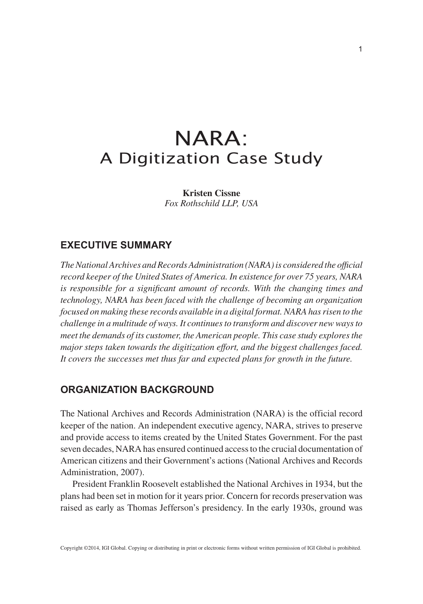# NARA: A Digitization Case Study

**Kristen Cissne** *Fox Rothschild LLP, USA*

## **EXECUTIVE SUMMARY**

*The National Archives and Records Administration (NARA) is considered the official record keeper of the United States of America. In existence for over 75 years, NARA is responsible for a significant amount of records. With the changing times and technology, NARA has been faced with the challenge of becoming an organization focused on making these records available in a digital format. NARA has risen to the challenge in a multitude of ways. It continues to transform and discover new ways to meet the demands of its customer, the American people. This case study explores the major steps taken towards the digitization effort, and the biggest challenges faced. It covers the successes met thus far and expected plans for growth in the future.*

## **ORGANIZATION BACKGROUND**

The National Archives and Records Administration (NARA) is the official record keeper of the nation. An independent executive agency, NARA, strives to preserve and provide access to items created by the United States Government. For the past seven decades, NARA has ensured continued access to the crucial documentation of American citizens and their Government's actions (National Archives and Records Administration, 2007).

President Franklin Roosevelt established the National Archives in 1934, but the plans had been set in motion for it years prior. Concern for records preservation was raised as early as Thomas Jefferson's presidency. In the early 1930s, ground was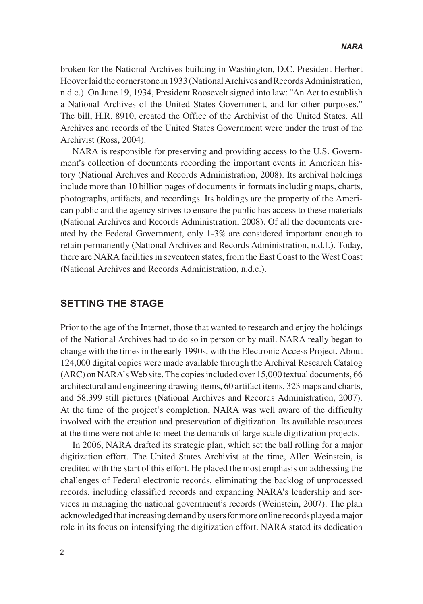broken for the National Archives building in Washington, D.C. President Herbert Hoover laid the cornerstone in 1933 (National Archives and Records Administration, n.d.c.). On June 19, 1934, President Roosevelt signed into law: "An Act to establish a National Archives of the United States Government, and for other purposes." The bill, H.R. 8910, created the Office of the Archivist of the United States. All Archives and records of the United States Government were under the trust of the Archivist (Ross, 2004).

NARA is responsible for preserving and providing access to the U.S. Government's collection of documents recording the important events in American history (National Archives and Records Administration, 2008). Its archival holdings include more than 10 billion pages of documents in formats including maps, charts, photographs, artifacts, and recordings. Its holdings are the property of the American public and the agency strives to ensure the public has access to these materials (National Archives and Records Administration, 2008). Of all the documents created by the Federal Government, only 1-3% are considered important enough to retain permanently (National Archives and Records Administration, n.d.f.). Today, there are NARA facilities in seventeen states, from the East Coast to the West Coast (National Archives and Records Administration, n.d.c.).

#### **SETTING THE STAGE**

Prior to the age of the Internet, those that wanted to research and enjoy the holdings of the National Archives had to do so in person or by mail. NARA really began to change with the times in the early 1990s, with the Electronic Access Project. About 124,000 digital copies were made available through the Archival Research Catalog (ARC) on NARA's Web site. The copies included over 15,000 textual documents, 66 architectural and engineering drawing items, 60 artifact items, 323 maps and charts, and 58,399 still pictures (National Archives and Records Administration, 2007). At the time of the project's completion, NARA was well aware of the difficulty involved with the creation and preservation of digitization. Its available resources at the time were not able to meet the demands of large-scale digitization projects.

In 2006, NARA drafted its strategic plan, which set the ball rolling for a major digitization effort. The United States Archivist at the time, Allen Weinstein, is credited with the start of this effort. He placed the most emphasis on addressing the challenges of Federal electronic records, eliminating the backlog of unprocessed records, including classified records and expanding NARA's leadership and services in managing the national government's records (Weinstein, 2007). The plan acknowledged that increasing demand by users for more online records played a major role in its focus on intensifying the digitization effort. NARA stated its dedication